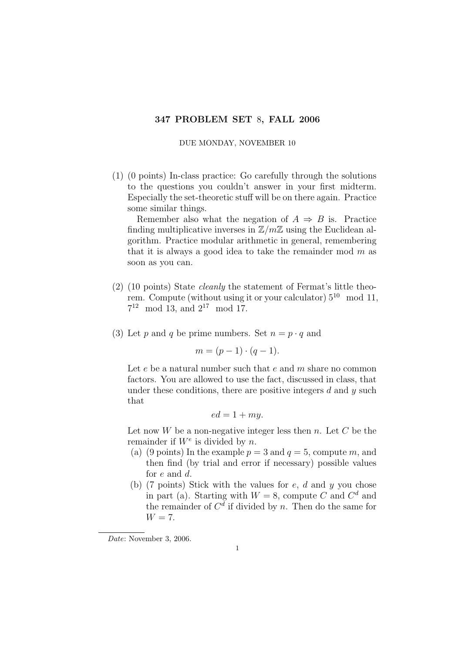## 347 PROBLEM SET 8, FALL 2006

DUE MONDAY, NOVEMBER 10

(1) (0 points) In-class practice: Go carefully through the solutions to the questions you couldn't answer in your first midterm. Especially the set-theoretic stuff will be on there again. Practice some similar things.

Remember also what the negation of  $A \Rightarrow B$  is. Practice finding multiplicative inverses in  $\mathbb{Z}/m\mathbb{Z}$  using the Euclidean algorithm. Practice modular arithmetic in general, remembering that it is always a good idea to take the remainder mod  $m$  as soon as you can.

- (2) (10 points) State cleanly the statement of Fermat's little theorem. Compute (without using it or your calculator)  $5^{10}$  mod 11,  $7^{12} \mod 13$ , and  $2^{17} \mod 17$ .
- (3) Let p and q be prime numbers. Set  $n = p \cdot q$  and

$$
m = (p-1) \cdot (q-1).
$$

Let  $e$  be a natural number such that  $e$  and  $m$  share no common factors. You are allowed to use the fact, discussed in class, that under these conditions, there are positive integers  $d$  and  $y$  such that

$$
ed = 1 + my.
$$

Let now  $W$  be a non-negative integer less then  $n$ . Let  $C$  be the remainder if  $W^e$  is divided by n.

- (a) (9 points) In the example  $p = 3$  and  $q = 5$ , compute m, and then find (by trial and error if necessary) possible values for e and d.
- (b) (7 points) Stick with the values for  $e$ ,  $d$  and  $y$  you chose in part (a). Starting with  $W = 8$ , compute C and  $C<sup>d</sup>$  and the remainder of  $C<sup>d</sup>$  if divided by n. Then do the same for  $W = 7$ .

Date: November 3, 2006.